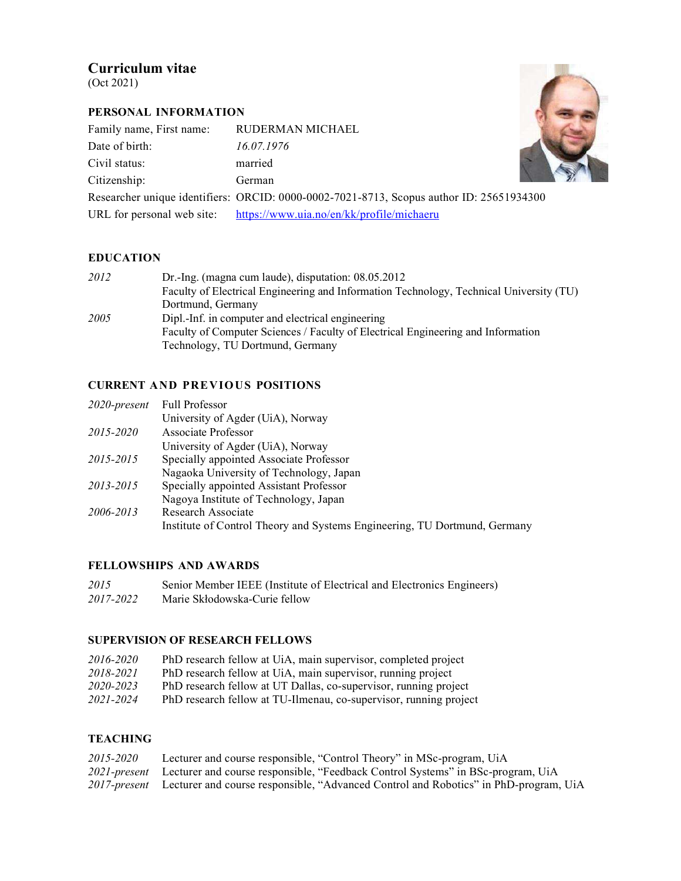# Curriculum vitae

(Oct 2021)

## PERSONAL INFORMATION

| Family name, First name: | RUDERMAN MICHAEL                                                                         |  |
|--------------------------|------------------------------------------------------------------------------------------|--|
| Date of birth:           | 16.07.1976                                                                               |  |
| Civil status:            | married                                                                                  |  |
| Citizenship:             | German                                                                                   |  |
|                          | Researcher unique identifiers: ORCID: 0000-0002-7021-8713, Scopus author ID: 25651934300 |  |
|                          | URL for personal web site: https://www.uia.no/en/kk/profile/michaeru                     |  |

### EDUCATION

| 2012 | Dr.-Ing. (magna cum laude), disputation: $08.05.2012$                                   |
|------|-----------------------------------------------------------------------------------------|
|      | Faculty of Electrical Engineering and Information Technology, Technical University (TU) |
|      | Dortmund, Germany                                                                       |
| 2005 | Dipl.-Inf. in computer and electrical engineering                                       |
|      | Faculty of Computer Sciences / Faculty of Electrical Engineering and Information        |
|      | Technology, TU Dortmund, Germany                                                        |

### CURRENT AND PREVIOUS POSITIONS

| $2020$ -present | <b>Full Professor</b>                                                     |
|-----------------|---------------------------------------------------------------------------|
|                 | University of Agder (UiA), Norway                                         |
| 2015-2020       | Associate Professor                                                       |
|                 | University of Agder (UiA), Norway                                         |
| 2015-2015       | Specially appointed Associate Professor                                   |
|                 | Nagaoka University of Technology, Japan                                   |
| 2013-2015       | Specially appointed Assistant Professor                                   |
|                 | Nagoya Institute of Technology, Japan                                     |
| 2006-2013       | Research Associate                                                        |
|                 | Institute of Control Theory and Systems Engineering, TU Dortmund, Germany |

## FELLOWSHIPS AND AWARDS

2015 Senior Member IEEE (Institute of Electrical and Electronics Engineers) 2017-2022 Marie Skłodowska-Curie fellow

## SUPERVISION OF RESEARCH FELLOWS

| 2016-2020 | PhD research fellow at UiA, main supervisor, completed project          |
|-----------|-------------------------------------------------------------------------|
| 2018-2021 | PhD research fellow at UiA, main supervisor, running project            |
| 2020-2023 | PhD research fellow at UT Dallas, co-supervisor, running project        |
| 2021.2021 | <b>DhD</b> research follow at TII Ilmoney as supervisor running project |

#### 2021-2024 PhD research fellow at TU-Ilmenau, co-supervisor, running project

## **TEACHING**

| 2015-2020 | Lecturer and course responsible, "Control Theory" in MSc-program, UiA                             |
|-----------|---------------------------------------------------------------------------------------------------|
|           | 2021-present Lecturer and course responsible, "Feedback Control Systems" in BSc-program, UiA      |
|           | 2017-present Lecturer and course responsible, "Advanced Control and Robotics" in PhD-program, UiA |